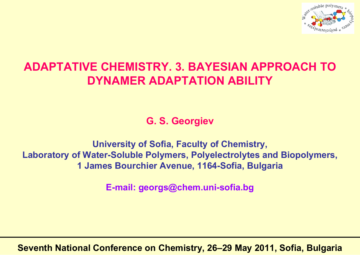

## **ADAPTATIVE CHEMISTRY. 3. BAYESIAN APPROACH TO DYNAMER ADAPTATION ABILITY**

**G. S. Georgiev**

**University of Sofia, Faculty of Chemistry, Laboratory of Water-Soluble Polymers, Polyelectrolytes and Biopolymers, 1 James Bourchier Avenue, 1164-Sofia, Bulgaria**

**E-mail: georgs@chem.uni-sofia.bg**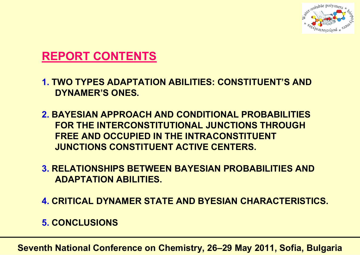

### **REPORT CONTENTS**

- **1. TWO TYPES ADAPTATION ABILITIES: CONSTITUENT'S AND DYNAMER'S ONES.**
- **2. BAYESIAN APPROACH AND CONDITIONAL PROBABILITIES FOR THE INTERCONSTITUTIONAL JUNCTIONS THROUGH FREE AND OCCUPIED IN THE INTRACONSTITUENT JUNCTIONS CONSTITUENT ACTIVE CENTERS.**
- **3. RELATIONSHIPS BETWEEN BAYESIAN PROBABILITIES AND ADAPTATION ABILITIES.**
- **4. CRITICAL DYNAMER STATE AND BYESIAN CHARACTERISTICS.**
- **5. CONCLUSIONS**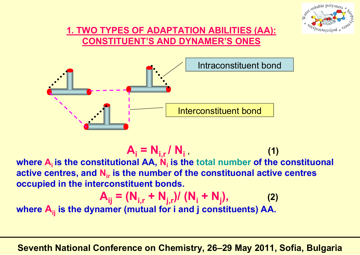

### **1. TWO TYPES OF ADAPTATION ABILITIES (AA): CONSTITUENT'S AND DYNAMER'S ONES**



 $A_i = N_{i,r} / N_i$  (1) **where Ai is the constitutional AA, Ni is the total number of the constituonal active centres, and Nir is the number of the constituonal active centres occupied in the interconstituent bonds.**

$$
A_{ij} = (N_{i,r} + N_{j,r}) / (N_i + N_j),
$$
 (2)

**where**  $\mathsf{A}_{\mathsf{i}\mathsf{j}}$  **is the dynamer (mutual for i and j constituents) AA.**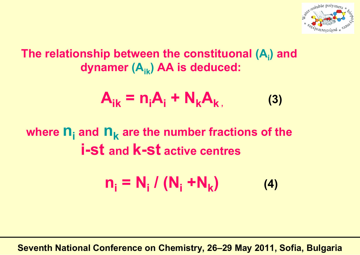

## **The relationship between the constituonal (Ai) and dynamer (Aik) AA is deduced:**

$$
A_{ik} = n_i A_i + N_k A_k, \qquad (3)
$$

## **where ni and n k are the number fractions of the i-st and k-st active centres**

$$
n_i = N_i / (N_i + N_k)
$$
 (4)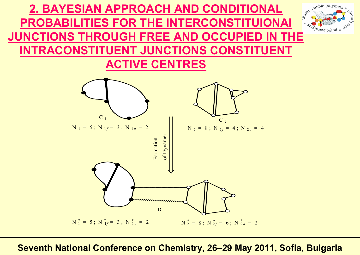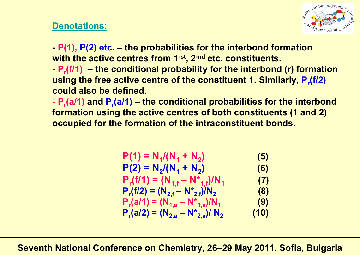

### **Denotations:**

**- P(1), P(2) etc. – the probabilities for the interbond formation with the active centres from 1-st, 2-nd etc. constituents.**

- **Pr(f/1) – the conditional probability for the interbond (r) formation using the free active centre of the constituent 1. Similarly, P<sub>r</sub>(f/2) could also be defined.**

 **Pr(a/1) and Pr(a/1) – the conditional probabilities for the interbond formation using the active centres of both constituents (1 and 2) occupied for the formation of the intraconstituent bonds.**

$$
P(1) = N_{1}/(N_{1} + N_{2})
$$
\n
$$
P(2) = N_{2}/(N_{1} + N_{2})
$$
\n
$$
P_{r}(f/1) = (N_{1,f} - N_{1,f}^{*})/N_{1}
$$
\n
$$
P_{r}(f/2) = (N_{2,f} - N_{2,f}^{*})/N_{2}
$$
\n
$$
P_{r}(a/1) = (N_{1,a} - N_{1,a}^{*})/N_{1}
$$
\n
$$
P_{r}(a/2) = (N_{2,a} - N_{2,a}^{*})/N_{2}
$$
\n(10)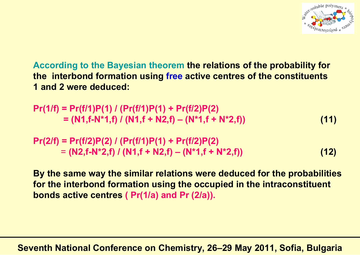

**According to the Bayesian theorem the relations of the probability for the interbond formation using free active centres of the constituents 1 and 2 were deduced:**

**Pr(1/f) = Pr(f/1)P(1) / (Pr(f/1)P(1) + Pr(f/2)P(2)**  $= (N1, f-N^*1, f) / (N1, f + N2, f) - (N^*1, f + N^*2, f)$  (11)

**Pr(2/f) = Pr(f/2)P(2) / (Pr(f/1)P(1) + Pr(f/2)P(2)** = **(N2,f-N\*2,f) / (N1,f + N2,f) – (N\*1,f + N\*2,f)) (12)**

**By the same way the similar relations were deduced for the probabilities for the interbond formation using the occupied in the intraconstituent bonds active centres ( Pr(1/a) and Pr (2/a)).**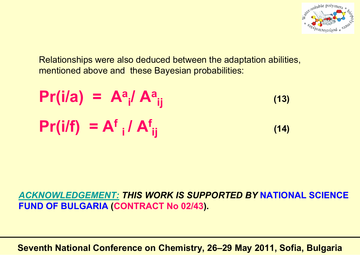

Relationships were also deduced between the adaptation abilities, mentioned above and these Bayesian probabilities:

**Pr(i/a) = A a <sup>i</sup>/ A a ij (13) Pr(i/f) = A f <sup>i</sup>/ A f ij (14)**

*ACKNOWLEDGEMENT: THIS WORK IS SUPPORTED BY* **NATIONAL SCIENCE FUND OF BULGARIA (CONTRACT No 02/43).**